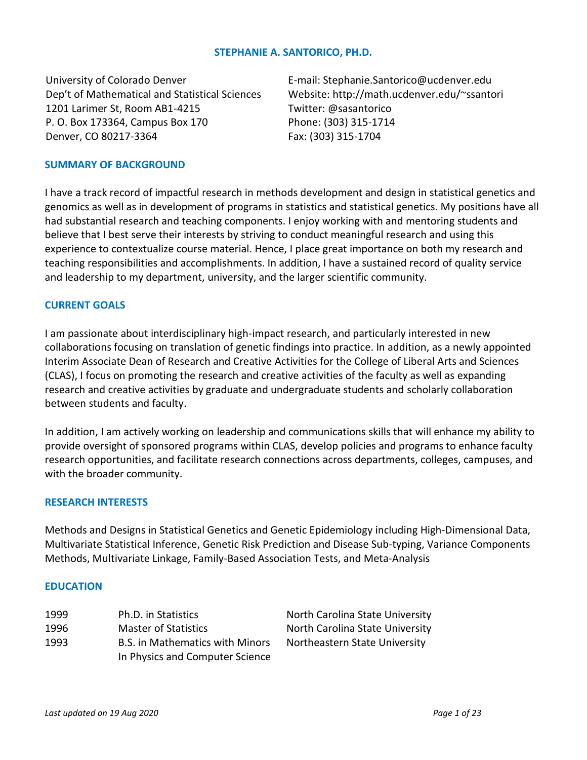## **STEPHANIE A. SANTORICO, PH.D.**

University of Colorado Denver Dep't of Mathematical and Statistical Sciences 1201 Larimer St, Room AB1-4215 P. O. Box 173364, Campus Box 170 Denver, CO 80217-3364

E-mail: Stephanie.Santorico@ucdenver.edu Website: http://math.ucdenver.edu/~ssantori Twitter: @sasantorico Phone: (303) 315-1714 Fax: (303) 315-1704

## **SUMMARY OF BACKGROUND**

I have a track record of impactful research in methods development and design in statistical genetics and genomics as well as in development of programs in statistics and statistical genetics. My positions have all had substantial research and teaching components. I enjoy working with and mentoring students and believe that I best serve their interests by striving to conduct meaningful research and using this experience to contextualize course material. Hence, I place great importance on both my research and teaching responsibilities and accomplishments. In addition, I have a sustained record of quality service and leadership to my department, university, and the larger scientific community.

#### **CURRENT GOALS**

I am passionate about interdisciplinary high-impact research, and particularly interested in new collaborations focusing on translation of genetic findings into practice. In addition, as a newly appointed Interim Associate Dean of Research and Creative Activities for the College of Liberal Arts and Sciences (CLAS), I focus on promoting the research and creative activities of the faculty as well as expanding research and creative activities by graduate and undergraduate students and scholarly collaboration between students and faculty.

In addition, I am actively working on leadership and communications skills that will enhance my ability to provide oversight of sponsored programs within CLAS, develop policies and programs to enhance faculty research opportunities, and facilitate research connections across departments, colleges, campuses, and with the broader community.

### **RESEARCH INTERESTS**

Methods and Designs in Statistical Genetics and Genetic Epidemiology including High-Dimensional Data, Multivariate Statistical Inference, Genetic Risk Prediction and Disease Sub-typing, Variance Components Methods, Multivariate Linkage, Family-Based Association Tests, and Meta-Analysis

#### **EDUCATION**

| 1999 | Ph.D. in Statistics                                                       | North Carolina State University |
|------|---------------------------------------------------------------------------|---------------------------------|
| 1996 | <b>Master of Statistics</b>                                               | North Carolina State University |
| 1993 | <b>B.S. in Mathematics with Minors</b><br>In Physics and Computer Science | Northeastern State University   |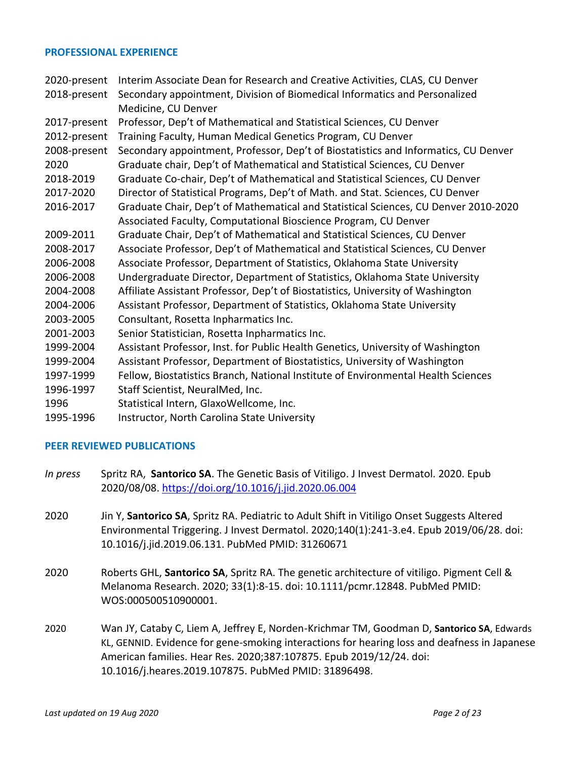### **PROFESSIONAL EXPERIENCE**

| 2020-present | Interim Associate Dean for Research and Creative Activities, CLAS, CU Denver        |
|--------------|-------------------------------------------------------------------------------------|
| 2018-present | Secondary appointment, Division of Biomedical Informatics and Personalized          |
|              | Medicine, CU Denver                                                                 |
| 2017-present | Professor, Dep't of Mathematical and Statistical Sciences, CU Denver                |
| 2012-present | Training Faculty, Human Medical Genetics Program, CU Denver                         |
| 2008-present | Secondary appointment, Professor, Dep't of Biostatistics and Informatics, CU Denver |
| 2020         | Graduate chair, Dep't of Mathematical and Statistical Sciences, CU Denver           |
| 2018-2019    | Graduate Co-chair, Dep't of Mathematical and Statistical Sciences, CU Denver        |
| 2017-2020    | Director of Statistical Programs, Dep't of Math. and Stat. Sciences, CU Denver      |
| 2016-2017    | Graduate Chair, Dep't of Mathematical and Statistical Sciences, CU Denver 2010-2020 |
|              | Associated Faculty, Computational Bioscience Program, CU Denver                     |
| 2009-2011    | Graduate Chair, Dep't of Mathematical and Statistical Sciences, CU Denver           |
| 2008-2017    | Associate Professor, Dep't of Mathematical and Statistical Sciences, CU Denver      |
| 2006-2008    | Associate Professor, Department of Statistics, Oklahoma State University            |
| 2006-2008    | Undergraduate Director, Department of Statistics, Oklahoma State University         |
| 2004-2008    | Affiliate Assistant Professor, Dep't of Biostatistics, University of Washington     |
| 2004-2006    | Assistant Professor, Department of Statistics, Oklahoma State University            |
| 2003-2005    | Consultant, Rosetta Inpharmatics Inc.                                               |
| 2001-2003    | Senior Statistician, Rosetta Inpharmatics Inc.                                      |
| 1999-2004    | Assistant Professor, Inst. for Public Health Genetics, University of Washington     |
| 1999-2004    | Assistant Professor, Department of Biostatistics, University of Washington          |
| 1997-1999    | Fellow, Biostatistics Branch, National Institute of Environmental Health Sciences   |
| 1996-1997    | Staff Scientist, NeuralMed, Inc.                                                    |
| 1996         | Statistical Intern, GlaxoWellcome, Inc.                                             |
| 1995-1996    | Instructor, North Carolina State University                                         |

## **PEER REVIEWED PUBLICATIONS**

- *In press* Spritz RA, **Santorico SA**. The Genetic Basis of Vitiligo. J Invest Dermatol. 2020. Epub 2020/08/08. <https://doi.org/10.1016/j.jid.2020.06.004>
- 2020 Jin Y, **Santorico SA**, Spritz RA. Pediatric to Adult Shift in Vitiligo Onset Suggests Altered Environmental Triggering. J Invest Dermatol. 2020;140(1):241-3.e4. Epub 2019/06/28. doi: 10.1016/j.jid.2019.06.131. PubMed PMID: 31260671
- 2020 Roberts GHL, **Santorico SA**, Spritz RA. The genetic architecture of vitiligo. Pigment Cell & Melanoma Research. 2020; 33(1):8-15. doi: 10.1111/pcmr.12848. PubMed PMID: WOS:000500510900001.
- 2020 Wan JY, Cataby C, Liem A, Jeffrey E, Norden-Krichmar TM, Goodman D, **Santorico SA**, Edwards KL, GENNID. Evidence for gene-smoking interactions for hearing loss and deafness in Japanese American families. Hear Res. 2020;387:107875. Epub 2019/12/24. doi: 10.1016/j.heares.2019.107875. PubMed PMID: 31896498.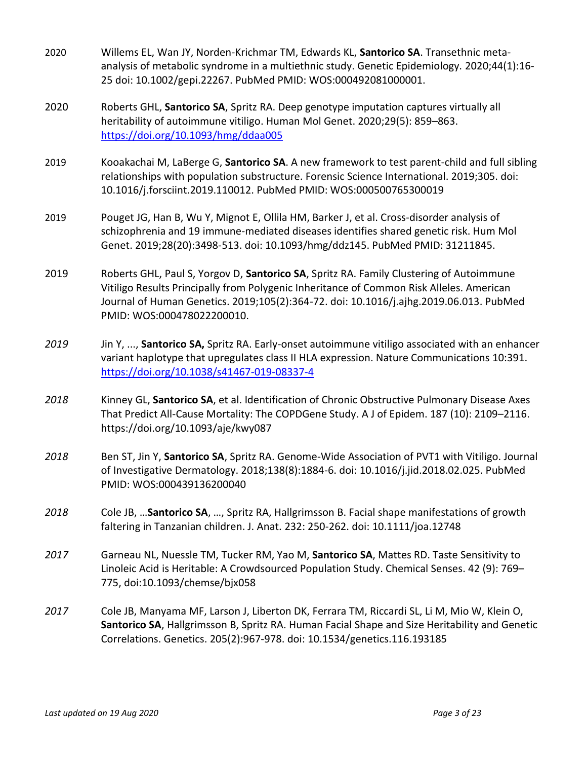- 2020 Willems EL, Wan JY, Norden-Krichmar TM, Edwards KL, **Santorico SA**. Transethnic metaanalysis of metabolic syndrome in a multiethnic study. Genetic Epidemiology. 2020;44(1):16- 25 doi: 10.1002/gepi.22267. PubMed PMID: WOS:000492081000001.
- 2020 Roberts GHL, **Santorico SA**, Spritz RA. Deep genotype imputation captures virtually all heritability of autoimmune vitiligo. Human Mol Genet. 2020;29(5): 859–863. <https://doi.org/10.1093/hmg/ddaa005>
- 2019 Kooakachai M, LaBerge G, **Santorico SA**. A new framework to test parent-child and full sibling relationships with population substructure. Forensic Science International. 2019;305. doi: 10.1016/j.forsciint.2019.110012. PubMed PMID: WOS:000500765300019
- 2019 Pouget JG, Han B, Wu Y, Mignot E, Ollila HM, Barker J, et al. Cross-disorder analysis of schizophrenia and 19 immune-mediated diseases identifies shared genetic risk. Hum Mol Genet. 2019;28(20):3498-513. doi: 10.1093/hmg/ddz145. PubMed PMID: 31211845.
- 2019 Roberts GHL, Paul S, Yorgov D, **Santorico SA**, Spritz RA. Family Clustering of Autoimmune Vitiligo Results Principally from Polygenic Inheritance of Common Risk Alleles. American Journal of Human Genetics. 2019;105(2):364-72. doi: 10.1016/j.ajhg.2019.06.013. PubMed PMID: WOS:000478022200010.
- *2019* Jin Y, ..., **Santorico SA,** Spritz RA. Early-onset autoimmune vitiligo associated with an enhancer variant haplotype that upregulates class II HLA expression. Nature Communications 10:391. <https://doi.org/10.1038/s41467-019-08337-4>
- *2018* Kinney GL, **Santorico SA**, et al. Identification of Chronic Obstructive Pulmonary Disease Axes That Predict All-Cause Mortality: The COPDGene Study. A J of Epidem. 187 (10): 2109–2116. https://doi.org/10.1093/aje/kwy087
- *2018* Ben ST, Jin Y, **Santorico SA**, Spritz RA. Genome-Wide Association of PVT1 with Vitiligo. Journal of Investigative Dermatology. 2018;138(8):1884-6. doi: 10.1016/j.jid.2018.02.025. PubMed PMID: WOS:000439136200040
- *2018* Cole JB, …**Santorico SA**, …, Spritz RA, Hallgrimsson B. Facial shape manifestations of growth faltering in Tanzanian children. J. Anat. 232: 250-262. doi: 10.1111/joa.12748
- *2017* Garneau NL, Nuessle TM, Tucker RM, Yao M, **Santorico SA**, Mattes RD. Taste Sensitivity to Linoleic Acid is Heritable: A Crowdsourced Population Study. Chemical Senses. 42 (9): 769– 775, doi:10.1093/chemse/bjx058
- *2017* Cole JB, Manyama MF, Larson J, Liberton DK, Ferrara TM, Riccardi SL, Li M, Mio W, Klein O, **Santorico SA**, Hallgrimsson B, Spritz RA. Human Facial Shape and Size Heritability and Genetic Correlations. Genetics. 205(2):967-978. doi: 10.1534/genetics.116.193185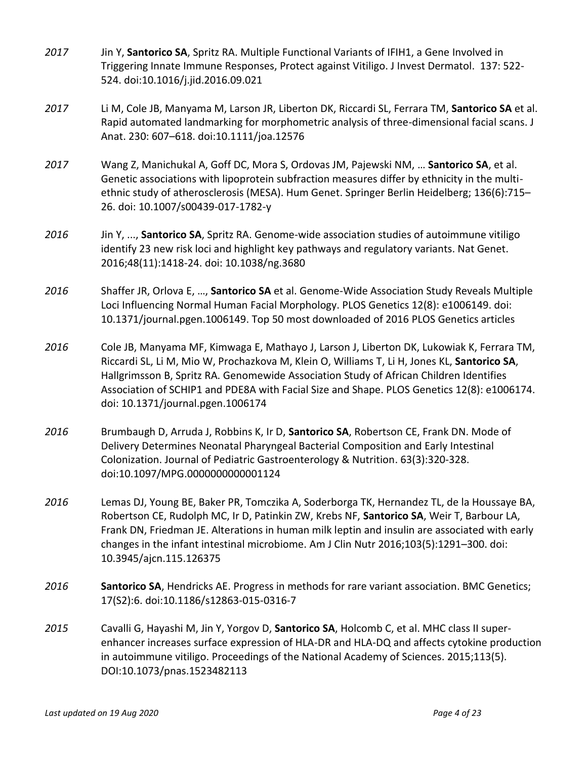- *2017* Jin Y, **Santorico SA**, Spritz RA. Multiple Functional Variants of IFIH1, a Gene Involved in Triggering Innate Immune Responses, Protect against Vitiligo. J Invest Dermatol. 137: 522- 524. doi:10.1016/j.jid.2016.09.021
- *2017* Li M, Cole JB, Manyama M, Larson JR, Liberton DK, Riccardi SL, Ferrara TM, **Santorico SA** et al. Rapid automated landmarking for morphometric analysis of three-dimensional facial scans. J Anat. 230: 607–618. doi:10.1111/joa.12576
- *2017* Wang Z, Manichukal A, Goff DC, Mora S, Ordovas JM, Pajewski NM, … **Santorico SA**, et al. Genetic associations with lipoprotein subfraction measures differ by ethnicity in the multiethnic study of atherosclerosis (MESA). Hum Genet. Springer Berlin Heidelberg; 136(6):715– 26. doi: 10.1007/s00439-017-1782-y
- *2016* Jin Y, ..., **Santorico SA**, Spritz RA. Genome-wide association studies of autoimmune vitiligo identify 23 new risk loci and highlight key pathways and regulatory variants. Nat Genet. 2016;48(11):1418-24. doi: 10.1038/ng.3680
- *2016* Shaffer JR, Orlova E, …, **Santorico SA** et al. Genome-Wide Association Study Reveals Multiple Loci Influencing Normal Human Facial Morphology. PLOS Genetics 12(8): e1006149. doi: 10.1371/journal.pgen.1006149. Top 50 most downloaded of 2016 PLOS Genetics articles
- *2016* Cole JB, Manyama MF, Kimwaga E, Mathayo J, Larson J, Liberton DK, Lukowiak K, Ferrara TM, Riccardi SL, Li M, Mio W, Prochazkova M, Klein O, Williams T, Li H, Jones KL, **Santorico SA**, Hallgrimsson B, Spritz RA. Genomewide Association Study of African Children Identifies Association of SCHIP1 and PDE8A with Facial Size and Shape. PLOS Genetics 12(8): e1006174. doi: 10.1371/journal.pgen.1006174
- *2016* Brumbaugh D, Arruda J, Robbins K, Ir D, **Santorico SA**, Robertson CE, Frank DN. Mode of Delivery Determines Neonatal Pharyngeal Bacterial Composition and Early Intestinal Colonization. Journal of Pediatric Gastroenterology & Nutrition. 63(3):320-328. doi:10.1097/MPG.0000000000001124
- *2016* Lemas DJ, Young BE, Baker PR, Tomczika A, Soderborga TK, Hernandez TL, de la Houssaye BA, Robertson CE, Rudolph MC, Ir D, Patinkin ZW, Krebs NF, **Santorico SA**, Weir T, Barbour LA, Frank DN, Friedman JE. Alterations in human milk leptin and insulin are associated with early changes in the infant intestinal microbiome. Am J Clin Nutr 2016;103(5):1291–300. doi: 10.3945/ajcn.115.126375
- *2016* **Santorico SA**, Hendricks AE. Progress in methods for rare variant association. BMC Genetics; 17(S2):6. doi:10.1186/s12863-015-0316-7
- *2015* Cavalli G, Hayashi M, Jin Y, Yorgov D, **Santorico SA**, Holcomb C, et al. MHC class II superenhancer increases surface expression of HLA-DR and HLA-DQ and affects cytokine production in autoimmune vitiligo. Proceedings of the National Academy of Sciences. 2015;113(5). DOI:10.1073/pnas.1523482113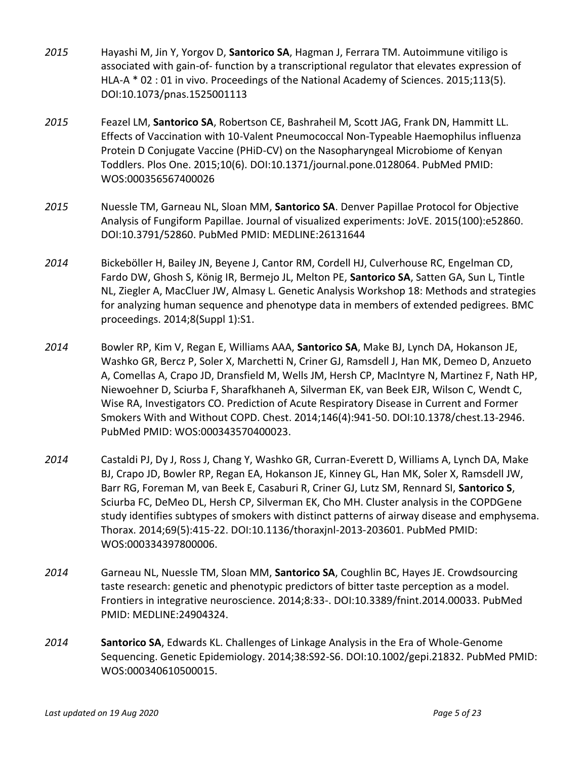- *2015* Hayashi M, Jin Y, Yorgov D, **Santorico SA**, Hagman J, Ferrara TM. Autoimmune vitiligo is associated with gain-of- function by a transcriptional regulator that elevates expression of HLA-A \* 02 : 01 in vivo. Proceedings of the National Academy of Sciences. 2015;113(5). DOI:10.1073/pnas.1525001113
- *2015* Feazel LM, **Santorico SA**, Robertson CE, Bashraheil M, Scott JAG, Frank DN, Hammitt LL. Effects of Vaccination with 10-Valent Pneumococcal Non-Typeable Haemophilus influenza Protein D Conjugate Vaccine (PHiD-CV) on the Nasopharyngeal Microbiome of Kenyan Toddlers. Plos One. 2015;10(6). DOI:10.1371/journal.pone.0128064. PubMed PMID: WOS:000356567400026
- *2015* Nuessle TM, Garneau NL, Sloan MM, **Santorico SA**. Denver Papillae Protocol for Objective Analysis of Fungiform Papillae. Journal of visualized experiments: JoVE. 2015(100):e52860. DOI:10.3791/52860. PubMed PMID: MEDLINE:26131644
- *2014* Bickeböller H, Bailey JN, Beyene J, Cantor RM, Cordell HJ, Culverhouse RC, Engelman CD, Fardo DW, Ghosh S, König IR, Bermejo JL, Melton PE, **Santorico SA**, Satten GA, Sun L, Tintle NL, Ziegler A, MacCluer JW, Almasy L. Genetic Analysis Workshop 18: Methods and strategies for analyzing human sequence and phenotype data in members of extended pedigrees. BMC proceedings. 2014;8(Suppl 1):S1.
- *2014* Bowler RP, Kim V, Regan E, Williams AAA, **Santorico SA**, Make BJ, Lynch DA, Hokanson JE, Washko GR, Bercz P, Soler X, Marchetti N, Criner GJ, Ramsdell J, Han MK, Demeo D, Anzueto A, Comellas A, Crapo JD, Dransfield M, Wells JM, Hersh CP, MacIntyre N, Martinez F, Nath HP, Niewoehner D, Sciurba F, Sharafkhaneh A, Silverman EK, van Beek EJR, Wilson C, Wendt C, Wise RA, Investigators CO. Prediction of Acute Respiratory Disease in Current and Former Smokers With and Without COPD. Chest. 2014;146(4):941-50. DOI:10.1378/chest.13-2946. PubMed PMID: WOS:000343570400023.
- *2014* Castaldi PJ, Dy J, Ross J, Chang Y, Washko GR, Curran-Everett D, Williams A, Lynch DA, Make BJ, Crapo JD, Bowler RP, Regan EA, Hokanson JE, Kinney GL, Han MK, Soler X, Ramsdell JW, Barr RG, Foreman M, van Beek E, Casaburi R, Criner GJ, Lutz SM, Rennard SI, **Santorico S**, Sciurba FC, DeMeo DL, Hersh CP, Silverman EK, Cho MH. Cluster analysis in the COPDGene study identifies subtypes of smokers with distinct patterns of airway disease and emphysema. Thorax. 2014;69(5):415-22. DOI:10.1136/thoraxjnl-2013-203601. PubMed PMID: WOS:000334397800006.
- *2014* Garneau NL, Nuessle TM, Sloan MM, **Santorico SA**, Coughlin BC, Hayes JE. Crowdsourcing taste research: genetic and phenotypic predictors of bitter taste perception as a model. Frontiers in integrative neuroscience. 2014;8:33-. DOI:10.3389/fnint.2014.00033. PubMed PMID: MEDLINE:24904324.
- *2014* **Santorico SA**, Edwards KL. Challenges of Linkage Analysis in the Era of Whole-Genome Sequencing. Genetic Epidemiology. 2014;38:S92-S6. DOI:10.1002/gepi.21832. PubMed PMID: WOS:000340610500015.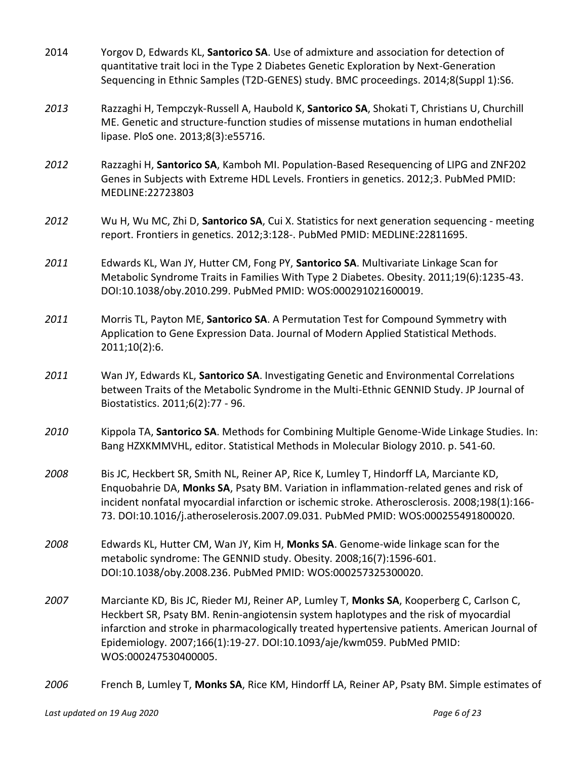- 2014 Yorgov D, Edwards KL, **Santorico SA**. Use of admixture and association for detection of quantitative trait loci in the Type 2 Diabetes Genetic Exploration by Next-Generation Sequencing in Ethnic Samples (T2D-GENES) study. BMC proceedings. 2014;8(Suppl 1):S6.
- *2013* Razzaghi H, Tempczyk-Russell A, Haubold K, **Santorico SA**, Shokati T, Christians U, Churchill ME. Genetic and structure-function studies of missense mutations in human endothelial lipase. PloS one. 2013;8(3):e55716.
- *2012* Razzaghi H, **Santorico SA**, Kamboh MI. Population-Based Resequencing of LIPG and ZNF202 Genes in Subjects with Extreme HDL Levels. Frontiers in genetics. 2012;3. PubMed PMID: MEDLINE:22723803
- *2012* Wu H, Wu MC, Zhi D, **Santorico SA**, Cui X. Statistics for next generation sequencing meeting report. Frontiers in genetics. 2012;3:128-. PubMed PMID: MEDLINE:22811695.
- *2011* Edwards KL, Wan JY, Hutter CM, Fong PY, **Santorico SA**. Multivariate Linkage Scan for Metabolic Syndrome Traits in Families With Type 2 Diabetes. Obesity. 2011;19(6):1235-43. DOI:10.1038/oby.2010.299. PubMed PMID: WOS:000291021600019.
- *2011* Morris TL, Payton ME, **Santorico SA**. A Permutation Test for Compound Symmetry with Application to Gene Expression Data. Journal of Modern Applied Statistical Methods. 2011;10(2):6.
- *2011* Wan JY, Edwards KL, **Santorico SA**. Investigating Genetic and Environmental Correlations between Traits of the Metabolic Syndrome in the Multi-Ethnic GENNID Study. JP Journal of Biostatistics. 2011;6(2):77 - 96.
- *2010* Kippola TA, **Santorico SA**. Methods for Combining Multiple Genome-Wide Linkage Studies. In: Bang HZXKMMVHL, editor. Statistical Methods in Molecular Biology 2010. p. 541-60.
- *2008* Bis JC, Heckbert SR, Smith NL, Reiner AP, Rice K, Lumley T, Hindorff LA, Marciante KD, Enquobahrie DA, **Monks SA**, Psaty BM. Variation in inflammation-related genes and risk of incident nonfatal myocardial infarction or ischemic stroke. Atherosclerosis. 2008;198(1):166- 73. DOI:10.1016/j.atheroselerosis.2007.09.031. PubMed PMID: WOS:000255491800020.
- *2008* Edwards KL, Hutter CM, Wan JY, Kim H, **Monks SA**. Genome-wide linkage scan for the metabolic syndrome: The GENNID study. Obesity. 2008;16(7):1596-601. DOI:10.1038/oby.2008.236. PubMed PMID: WOS:000257325300020.
- *2007* Marciante KD, Bis JC, Rieder MJ, Reiner AP, Lumley T, **Monks SA**, Kooperberg C, Carlson C, Heckbert SR, Psaty BM. Renin-angiotensin system haplotypes and the risk of myocardial infarction and stroke in pharmacologically treated hypertensive patients. American Journal of Epidemiology. 2007;166(1):19-27. DOI:10.1093/aje/kwm059. PubMed PMID: WOS:000247530400005.
- *2006* French B, Lumley T, **Monks SA**, Rice KM, Hindorff LA, Reiner AP, Psaty BM. Simple estimates of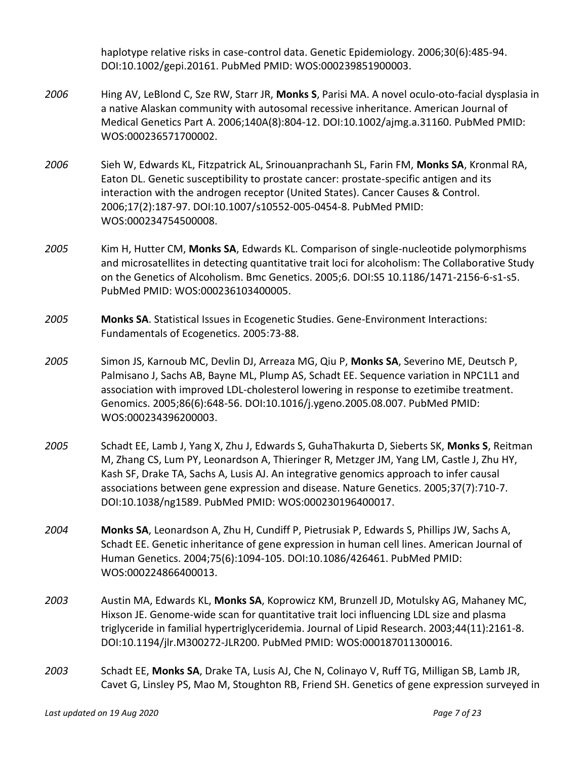haplotype relative risks in case-control data. Genetic Epidemiology. 2006;30(6):485-94. DOI:10.1002/gepi.20161. PubMed PMID: WOS:000239851900003.

- *2006* Hing AV, LeBlond C, Sze RW, Starr JR, **Monks S**, Parisi MA. A novel oculo-oto-facial dysplasia in a native Alaskan community with autosomal recessive inheritance. American Journal of Medical Genetics Part A. 2006;140A(8):804-12. DOI:10.1002/ajmg.a.31160. PubMed PMID: WOS:000236571700002.
- *2006* Sieh W, Edwards KL, Fitzpatrick AL, Srinouanprachanh SL, Farin FM, **Monks SA**, Kronmal RA, Eaton DL. Genetic susceptibility to prostate cancer: prostate-specific antigen and its interaction with the androgen receptor (United States). Cancer Causes & Control. 2006;17(2):187-97. DOI:10.1007/s10552-005-0454-8. PubMed PMID: WOS:000234754500008.
- *2005* Kim H, Hutter CM, **Monks SA**, Edwards KL. Comparison of single-nucleotide polymorphisms and microsatellites in detecting quantitative trait loci for alcoholism: The Collaborative Study on the Genetics of Alcoholism. Bmc Genetics. 2005;6. DOI:S5 10.1186/1471-2156-6-s1-s5. PubMed PMID: WOS:000236103400005.
- *2005* **Monks SA**. Statistical Issues in Ecogenetic Studies. Gene-Environment Interactions: Fundamentals of Ecogenetics. 2005:73-88.
- *2005* Simon JS, Karnoub MC, Devlin DJ, Arreaza MG, Qiu P, **Monks SA**, Severino ME, Deutsch P, Palmisano J, Sachs AB, Bayne ML, Plump AS, Schadt EE. Sequence variation in NPC1L1 and association with improved LDL-cholesterol lowering in response to ezetimibe treatment. Genomics. 2005;86(6):648-56. DOI:10.1016/j.ygeno.2005.08.007. PubMed PMID: WOS:000234396200003.
- *2005* Schadt EE, Lamb J, Yang X, Zhu J, Edwards S, GuhaThakurta D, Sieberts SK, **Monks S**, Reitman M, Zhang CS, Lum PY, Leonardson A, Thieringer R, Metzger JM, Yang LM, Castle J, Zhu HY, Kash SF, Drake TA, Sachs A, Lusis AJ. An integrative genomics approach to infer causal associations between gene expression and disease. Nature Genetics. 2005;37(7):710-7. DOI:10.1038/ng1589. PubMed PMID: WOS:000230196400017.
- *2004* **Monks SA**, Leonardson A, Zhu H, Cundiff P, Pietrusiak P, Edwards S, Phillips JW, Sachs A, Schadt EE. Genetic inheritance of gene expression in human cell lines. American Journal of Human Genetics. 2004;75(6):1094-105. DOI:10.1086/426461. PubMed PMID: WOS:000224866400013.
- *2003* Austin MA, Edwards KL, **Monks SA**, Koprowicz KM, Brunzell JD, Motulsky AG, Mahaney MC, Hixson JE. Genome-wide scan for quantitative trait loci influencing LDL size and plasma triglyceride in familial hypertriglyceridemia. Journal of Lipid Research. 2003;44(11):2161-8. DOI:10.1194/jlr.M300272-JLR200. PubMed PMID: WOS:000187011300016.
- *2003* Schadt EE, **Monks SA**, Drake TA, Lusis AJ, Che N, Colinayo V, Ruff TG, Milligan SB, Lamb JR, Cavet G, Linsley PS, Mao M, Stoughton RB, Friend SH. Genetics of gene expression surveyed in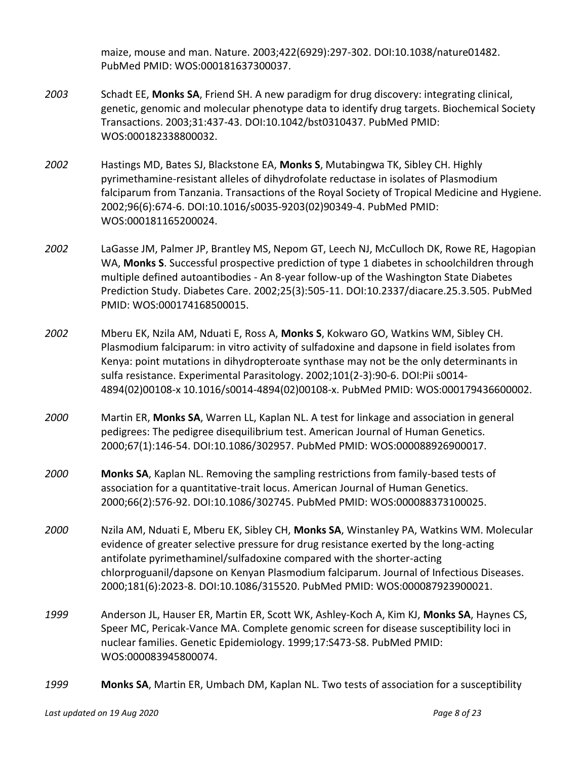maize, mouse and man. Nature. 2003;422(6929):297-302. DOI:10.1038/nature01482. PubMed PMID: WOS:000181637300037.

- *2003* Schadt EE, **Monks SA**, Friend SH. A new paradigm for drug discovery: integrating clinical, genetic, genomic and molecular phenotype data to identify drug targets. Biochemical Society Transactions. 2003;31:437-43. DOI:10.1042/bst0310437. PubMed PMID: WOS:000182338800032.
- *2002* Hastings MD, Bates SJ, Blackstone EA, **Monks S**, Mutabingwa TK, Sibley CH. Highly pyrimethamine-resistant alleles of dihydrofolate reductase in isolates of Plasmodium falciparum from Tanzania. Transactions of the Royal Society of Tropical Medicine and Hygiene. 2002;96(6):674-6. DOI:10.1016/s0035-9203(02)90349-4. PubMed PMID: WOS:000181165200024.
- *2002* LaGasse JM, Palmer JP, Brantley MS, Nepom GT, Leech NJ, McCulloch DK, Rowe RE, Hagopian WA, **Monks S**. Successful prospective prediction of type 1 diabetes in schoolchildren through multiple defined autoantibodies - An 8-year follow-up of the Washington State Diabetes Prediction Study. Diabetes Care. 2002;25(3):505-11. DOI:10.2337/diacare.25.3.505. PubMed PMID: WOS:000174168500015.
- *2002* Mberu EK, Nzila AM, Nduati E, Ross A, **Monks S**, Kokwaro GO, Watkins WM, Sibley CH. Plasmodium falciparum: in vitro activity of sulfadoxine and dapsone in field isolates from Kenya: point mutations in dihydropteroate synthase may not be the only determinants in sulfa resistance. Experimental Parasitology. 2002;101(2-3):90-6. DOI:Pii s0014- 4894(02)00108-x 10.1016/s0014-4894(02)00108-x. PubMed PMID: WOS:000179436600002.
- *2000* Martin ER, **Monks SA**, Warren LL, Kaplan NL. A test for linkage and association in general pedigrees: The pedigree disequilibrium test. American Journal of Human Genetics. 2000;67(1):146-54. DOI:10.1086/302957. PubMed PMID: WOS:000088926900017.
- *2000* **Monks SA**, Kaplan NL. Removing the sampling restrictions from family-based tests of association for a quantitative-trait locus. American Journal of Human Genetics. 2000;66(2):576-92. DOI:10.1086/302745. PubMed PMID: WOS:000088373100025.
- *2000* Nzila AM, Nduati E, Mberu EK, Sibley CH, **Monks SA**, Winstanley PA, Watkins WM. Molecular evidence of greater selective pressure for drug resistance exerted by the long-acting antifolate pyrimethaminel/sulfadoxine compared with the shorter-acting chlorproguanil/dapsone on Kenyan Plasmodium falciparum. Journal of Infectious Diseases. 2000;181(6):2023-8. DOI:10.1086/315520. PubMed PMID: WOS:000087923900021.
- *1999* Anderson JL, Hauser ER, Martin ER, Scott WK, Ashley-Koch A, Kim KJ, **Monks SA**, Haynes CS, Speer MC, Pericak-Vance MA. Complete genomic screen for disease susceptibility loci in nuclear families. Genetic Epidemiology. 1999;17:S473-S8. PubMed PMID: WOS:000083945800074.
- *1999* **Monks SA**, Martin ER, Umbach DM, Kaplan NL. Two tests of association for a susceptibility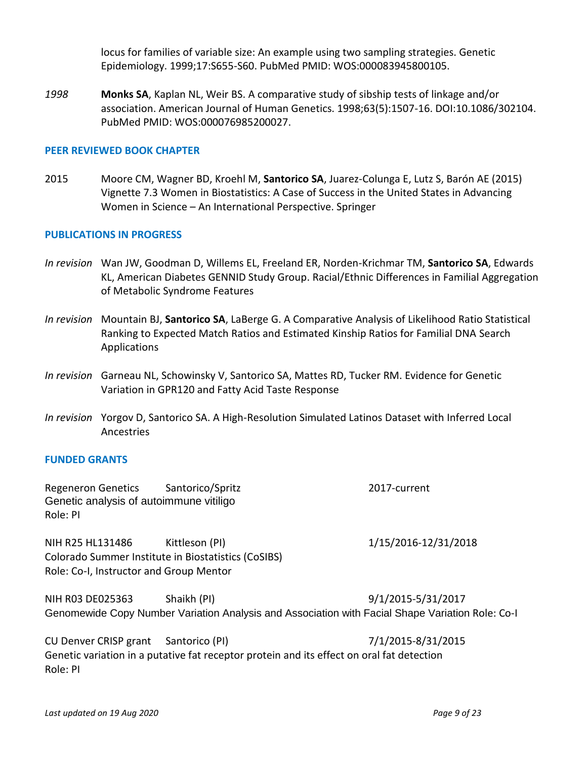locus for families of variable size: An example using two sampling strategies. Genetic Epidemiology. 1999;17:S655-S60. PubMed PMID: WOS:000083945800105.

*1998* **Monks SA**, Kaplan NL, Weir BS. A comparative study of sibship tests of linkage and/or association. American Journal of Human Genetics. 1998;63(5):1507-16. DOI:10.1086/302104. PubMed PMID: WOS:000076985200027.

## **PEER REVIEWED BOOK CHAPTER**

2015 Moore CM, Wagner BD, Kroehl M, **Santorico SA**, Juarez-Colunga E, Lutz S, Barón AE (2015) Vignette 7.3 Women in Biostatistics: A Case of Success in the United States in Advancing Women in Science – An International Perspective. Springer

## **PUBLICATIONS IN PROGRESS**

- *In revision* Wan JW, Goodman D, Willems EL, Freeland ER, Norden-Krichmar TM, **Santorico SA**, Edwards KL, American Diabetes GENNID Study Group. Racial/Ethnic Differences in Familial Aggregation of Metabolic Syndrome Features
- *In revision* Mountain BJ, **Santorico SA**, LaBerge G. A Comparative Analysis of Likelihood Ratio Statistical Ranking to Expected Match Ratios and Estimated Kinship Ratios for Familial DNA Search Applications
- *In revision* Garneau NL, Schowinsky V, Santorico SA, Mattes RD, Tucker RM. Evidence for Genetic Variation in GPR120 and Fatty Acid Taste Response
- *In revision* Yorgov D, Santorico SA. A High-Resolution Simulated Latinos Dataset with Inferred Local Ancestries

## **FUNDED GRANTS**

Regeneron Genetics Santorico/Spritz 2017-current Genetic analysis of autoimmune vitiligo Role: PI

NIH R25 HL131486 Kittleson (PI) 1/15/2016-12/31/2018 Colorado Summer Institute in Biostatistics (CoSIBS) Role: Co-I, Instructor and Group Mentor

NIH R03 DE025363 Shaikh (PI) 9/1/2015-5/31/2017 Genomewide Copy Number Variation Analysis and Association with Facial Shape Variation Role: Co-I

CU Denver CRISP grant Santorico (PI) 7/1/2015-8/31/2015 Genetic variation in a putative fat receptor protein and its effect on oral fat detection Role: PI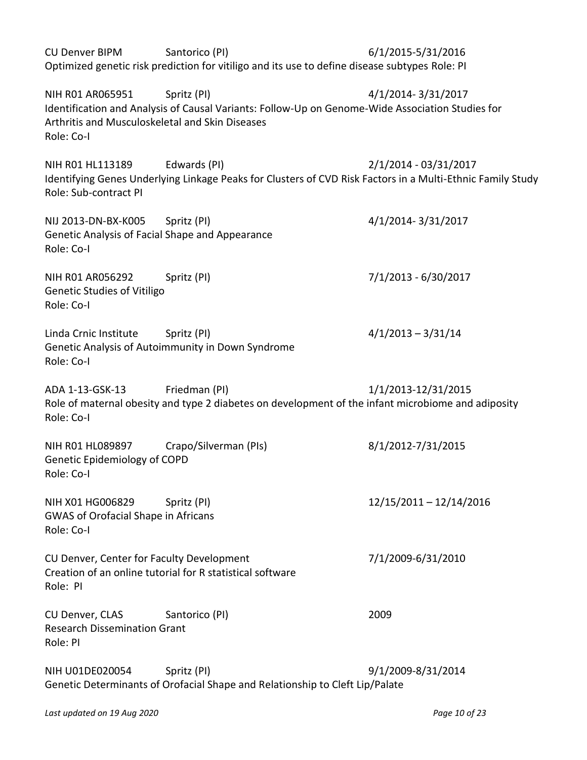| <b>CU Denver BIPM</b>                                                                            | Santorico (PI)<br>Optimized genetic risk prediction for vitiligo and its use to define disease subtypes Role: PI           | 6/1/2015-5/31/2016      |
|--------------------------------------------------------------------------------------------------|----------------------------------------------------------------------------------------------------------------------------|-------------------------|
| NIH R01 AR065951<br>Arthritis and Musculoskeletal and Skin Diseases<br>Role: Co-I                | Spritz (PI)<br>Identification and Analysis of Causal Variants: Follow-Up on Genome-Wide Association Studies for            | 4/1/2014-3/31/2017      |
| NIH R01 HL113189<br>Role: Sub-contract PI                                                        | Edwards (PI)<br>Identifying Genes Underlying Linkage Peaks for Clusters of CVD Risk Factors in a Multi-Ethnic Family Study | 2/1/2014 - 03/31/2017   |
| NIJ 2013-DN-BX-K005 Spritz (PI)<br>Genetic Analysis of Facial Shape and Appearance<br>Role: Co-I |                                                                                                                            | 4/1/2014-3/31/2017      |
| NIH R01 AR056292<br><b>Genetic Studies of Vitiligo</b><br>Role: Co-I                             | Spritz (PI)                                                                                                                | 7/1/2013 - 6/30/2017    |
| Linda Crnic Institute<br>Role: Co-I                                                              | Spritz (PI)<br>Genetic Analysis of Autoimmunity in Down Syndrome                                                           | $4/1/2013 - 3/31/14$    |
| ADA 1-13-GSK-13<br>Role: Co-I                                                                    | Friedman (PI)<br>Role of maternal obesity and type 2 diabetes on development of the infant microbiome and adiposity        | 1/1/2013-12/31/2015     |
| NIH R01 HL089897<br>Genetic Epidemiology of COPD<br>Role: Co-I                                   | Crapo/Silverman (PIs)                                                                                                      | 8/1/2012-7/31/2015      |
| NIH X01 HG006829<br><b>GWAS of Orofacial Shape in Africans</b><br>Role: Co-I                     | Spritz (PI)                                                                                                                | 12/15/2011 - 12/14/2016 |
| CU Denver, Center for Faculty Development<br>Role: PI                                            | Creation of an online tutorial for R statistical software                                                                  | 7/1/2009-6/31/2010      |
| CU Denver, CLAS<br><b>Research Dissemination Grant</b><br>Role: PI                               | Santorico (PI)                                                                                                             | 2009                    |
| NIH U01DE020054                                                                                  | Spritz (PI)<br>Genetic Determinants of Orofacial Shape and Relationship to Cleft Lip/Palate                                | 9/1/2009-8/31/2014      |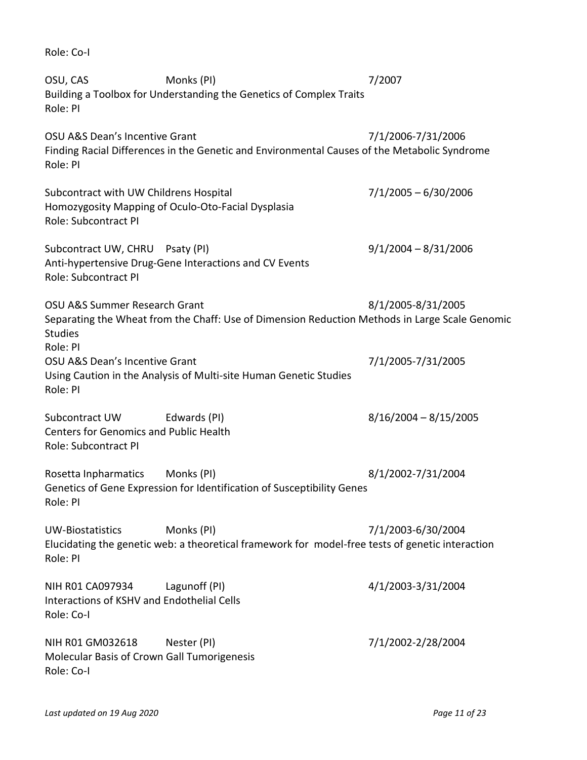OSU, CAS Monks (PI) 7/2007 Building a Toolbox for Understanding the Genetics of Complex Traits Role: PI OSU A&S Dean's Incentive Grant 7/1/2006-7/31/2006 Finding Racial Differences in the Genetic and Environmental Causes of the Metabolic Syndrome Role: PI Subcontract with UW Childrens Hospital 7/1/2005 – 6/30/2006 Homozygosity Mapping of Oculo-Oto-Facial Dysplasia Role: Subcontract PI Subcontract UW, CHRU Psaty (PI) 9/1/2004 – 8/31/2006 Anti-hypertensive Drug-Gene Interactions and CV Events Role: Subcontract PI OSU A&S Summer Research Grant 6 and 8/1/2005-8/31/2005 Separating the Wheat from the Chaff: Use of Dimension Reduction Methods in Large Scale Genomic Studies Role: PI OSU A&S Dean's Incentive Grant 7/1/2005-7/31/2005 Using Caution in the Analysis of Multi-site Human Genetic Studies Role: PI Subcontract UW Edwards (PI)  $\qquad 8/16/2004 - 8/15/2005$ Centers for Genomics and Public Health Role: Subcontract PI Rosetta Inpharmatics Monks (PI)  $\frac{8}{1/2002-7/31/2004}$ Genetics of Gene Expression for Identification of Susceptibility Genes Role: PI UW-Biostatistics Monks (PI) 7/1/2003-6/30/2004 Elucidating the genetic web: a theoretical framework for model-free tests of genetic interaction Role: PI NIH R01 CA097934 Lagunoff (PI) 4/1/2003-3/31/2004 Interactions of KSHV and Endothelial Cells Role: Co-I NIH R01 GM032618 Nester (PI) 7/1/2002-2/28/2004 Molecular Basis of Crown Gall Tumorigenesis Role: Co-I

Role: Co-I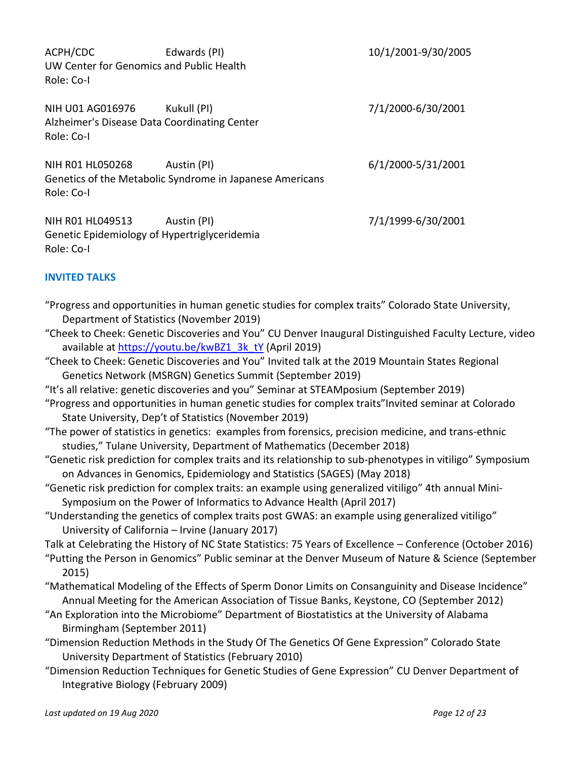ACPH/CDC Edwards (PI) 10/1/2001-9/30/2005 UW Center for Genomics and Public Health Role: Co-I

NIH U01 AG016976 Kukull (PI) 7/1/2000-6/30/2001 Alzheimer's Disease Data Coordinating Center Role: Co-I

NIH R01 HL050268 Austin (PI) 6/1/2000-5/31/2001 Genetics of the Metabolic Syndrome in Japanese Americans Role: Co-I

NIH R01 HL049513 Austin (PI)  $7/1/1999-6/30/2001$ Genetic Epidemiology of Hypertriglyceridemia Role: Co-I

# **INVITED TALKS**

"Progress and opportunities in human genetic studies for complex traits" Colorado State University, Department of Statistics (November 2019) "Cheek to Cheek: Genetic Discoveries and You" CU Denver Inaugural Distinguished Faculty Lecture, video available at [https://youtu.be/kwBZ1\\_3k\\_tY](https://youtu.be/kwBZ1_3k_tY) (April 2019) "Cheek to Cheek: Genetic Discoveries and You" Invited talk at the 2019 Mountain States Regional Genetics Network (MSRGN) Genetics Summit (September 2019) "It's all relative: genetic discoveries and you" Seminar at STEAMposium (September 2019) "Progress and opportunities in human genetic studies for complex traits"Invited seminar at Colorado State University, Dep't of Statistics (November 2019) "The power of statistics in genetics: examples from forensics, precision medicine, and trans-ethnic studies," Tulane University, Department of Mathematics (December 2018) "Genetic risk prediction for complex traits and its relationship to sub-phenotypes in vitiligo" Symposium on Advances in Genomics, Epidemiology and Statistics (SAGES) (May 2018) "Genetic risk prediction for complex traits: an example using generalized vitiligo" 4th annual Mini-Symposium on the Power of Informatics to Advance Health (April 2017) "Understanding the genetics of complex traits post GWAS: an example using generalized vitiligo" University of California – Irvine (January 2017) Talk at Celebrating the History of NC State Statistics: 75 Years of Excellence – Conference (October 2016) "Putting the Person in Genomics" Public seminar at the Denver Museum of Nature & Science (September 2015) "Mathematical Modeling of the Effects of Sperm Donor Limits on Consanguinity and Disease Incidence" Annual Meeting for the American Association of Tissue Banks, Keystone, CO (September 2012) "An Exploration into the Microbiome" Department of Biostatistics at the University of Alabama Birmingham (September 2011) "Dimension Reduction Methods in the Study Of The Genetics Of Gene Expression" Colorado State University Department of Statistics (February 2010) "Dimension Reduction Techniques for Genetic Studies of Gene Expression" CU Denver Department of Integrative Biology (February 2009)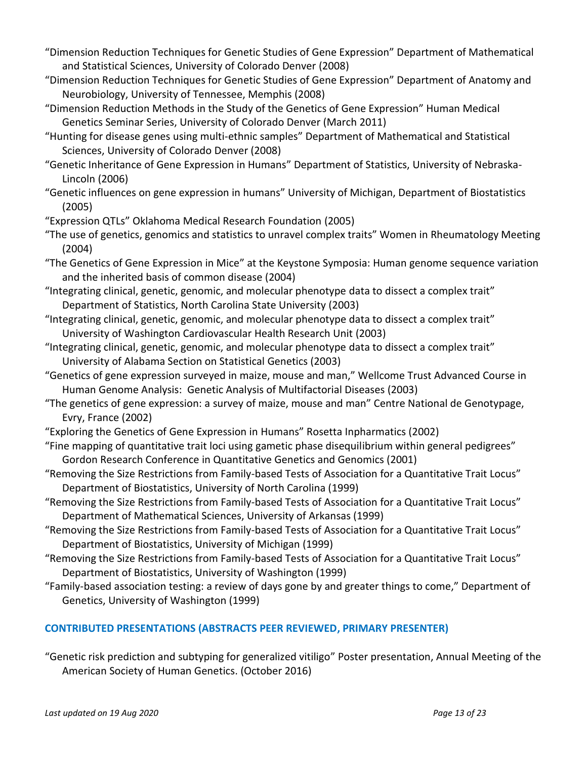- "Dimension Reduction Techniques for Genetic Studies of Gene Expression" Department of Mathematical and Statistical Sciences, University of Colorado Denver (2008)
- "Dimension Reduction Techniques for Genetic Studies of Gene Expression" Department of Anatomy and Neurobiology, University of Tennessee, Memphis (2008)
- "Dimension Reduction Methods in the Study of the Genetics of Gene Expression" Human Medical Genetics Seminar Series, University of Colorado Denver (March 2011)
- "Hunting for disease genes using multi-ethnic samples" Department of Mathematical and Statistical Sciences, University of Colorado Denver (2008)
- "Genetic Inheritance of Gene Expression in Humans" Department of Statistics, University of Nebraska-Lincoln (2006)
- "Genetic influences on gene expression in humans" University of Michigan, Department of Biostatistics (2005)
- "Expression QTLs" Oklahoma Medical Research Foundation (2005)
- "The use of genetics, genomics and statistics to unravel complex traits" Women in Rheumatology Meeting (2004)
- "The Genetics of Gene Expression in Mice" at the Keystone Symposia: Human genome sequence variation and the inherited basis of common disease (2004)
- "Integrating clinical, genetic, genomic, and molecular phenotype data to dissect a complex trait" Department of Statistics, North Carolina State University (2003)
- "Integrating clinical, genetic, genomic, and molecular phenotype data to dissect a complex trait" University of Washington Cardiovascular Health Research Unit (2003)
- "Integrating clinical, genetic, genomic, and molecular phenotype data to dissect a complex trait" University of Alabama Section on Statistical Genetics (2003)
- "Genetics of gene expression surveyed in maize, mouse and man," Wellcome Trust Advanced Course in Human Genome Analysis: Genetic Analysis of Multifactorial Diseases (2003)
- "The genetics of gene expression: a survey of maize, mouse and man" Centre National de Genotypage, Evry, France (2002)
- "Exploring the Genetics of Gene Expression in Humans" Rosetta Inpharmatics (2002)
- "Fine mapping of quantitative trait loci using gametic phase disequilibrium within general pedigrees" Gordon Research Conference in Quantitative Genetics and Genomics (2001)
- "Removing the Size Restrictions from Family-based Tests of Association for a Quantitative Trait Locus" Department of Biostatistics, University of North Carolina (1999)
- "Removing the Size Restrictions from Family-based Tests of Association for a Quantitative Trait Locus" Department of Mathematical Sciences, University of Arkansas (1999)
- "Removing the Size Restrictions from Family-based Tests of Association for a Quantitative Trait Locus" Department of Biostatistics, University of Michigan (1999)
- "Removing the Size Restrictions from Family-based Tests of Association for a Quantitative Trait Locus" Department of Biostatistics, University of Washington (1999)
- "Family-based association testing: a review of days gone by and greater things to come," Department of Genetics, University of Washington (1999)

# **CONTRIBUTED PRESENTATIONS (ABSTRACTS PEER REVIEWED, PRIMARY PRESENTER)**

"Genetic risk prediction and subtyping for generalized vitiligo" Poster presentation, Annual Meeting of the American Society of Human Genetics. (October 2016)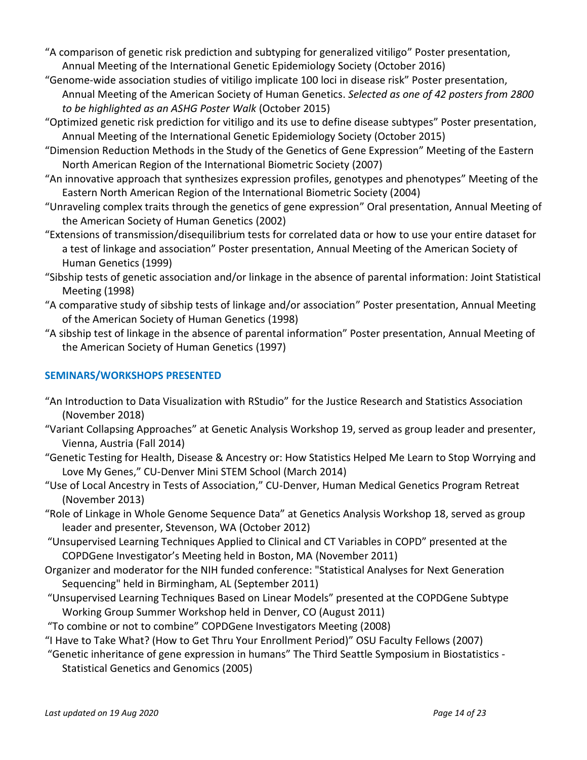- "A comparison of genetic risk prediction and subtyping for generalized vitiligo" Poster presentation, Annual Meeting of the International Genetic Epidemiology Society (October 2016)
- "Genome-wide association studies of vitiligo implicate 100 loci in disease risk" Poster presentation, Annual Meeting of the American Society of Human Genetics. *Selected as one of 42 posters from 2800 to be highlighted as an ASHG Poster Walk* (October 2015)
- "Optimized genetic risk prediction for vitiligo and its use to define disease subtypes" Poster presentation, Annual Meeting of the International Genetic Epidemiology Society (October 2015)
- "Dimension Reduction Methods in the Study of the Genetics of Gene Expression" Meeting of the Eastern North American Region of the International Biometric Society (2007)
- "An innovative approach that synthesizes expression profiles, genotypes and phenotypes" Meeting of the Eastern North American Region of the International Biometric Society (2004)
- "Unraveling complex traits through the genetics of gene expression" Oral presentation, Annual Meeting of the American Society of Human Genetics (2002)
- "Extensions of transmission/disequilibrium tests for correlated data or how to use your entire dataset for a test of linkage and association" Poster presentation, Annual Meeting of the American Society of Human Genetics (1999)
- "Sibship tests of genetic association and/or linkage in the absence of parental information: Joint Statistical Meeting (1998)
- "A comparative study of sibship tests of linkage and/or association" Poster presentation, Annual Meeting of the American Society of Human Genetics (1998)
- "A sibship test of linkage in the absence of parental information" Poster presentation, Annual Meeting of the American Society of Human Genetics (1997)

# **SEMINARS/WORKSHOPS PRESENTED**

- "An Introduction to Data Visualization with RStudio" for the Justice Research and Statistics Association (November 2018)
- "Variant Collapsing Approaches" at Genetic Analysis Workshop 19, served as group leader and presenter, Vienna, Austria (Fall 2014)
- "Genetic Testing for Health, Disease & Ancestry or: How Statistics Helped Me Learn to Stop Worrying and Love My Genes," CU-Denver Mini STEM School (March 2014)
- "Use of Local Ancestry in Tests of Association," CU-Denver, Human Medical Genetics Program Retreat (November 2013)
- "Role of Linkage in Whole Genome Sequence Data" at Genetics Analysis Workshop 18, served as group leader and presenter, Stevenson, WA (October 2012)
- "Unsupervised Learning Techniques Applied to Clinical and CT Variables in COPD" presented at the COPDGene Investigator's Meeting held in Boston, MA (November 2011)
- Organizer and moderator for the NIH funded conference: "Statistical Analyses for Next Generation Sequencing" held in Birmingham, AL (September 2011)
- "Unsupervised Learning Techniques Based on Linear Models" presented at the COPDGene Subtype Working Group Summer Workshop held in Denver, CO (August 2011)
- "To combine or not to combine" COPDGene Investigators Meeting (2008)
- "I Have to Take What? (How to Get Thru Your Enrollment Period)" OSU Faculty Fellows (2007)
- "Genetic inheritance of gene expression in humans" The Third Seattle Symposium in Biostatistics Statistical Genetics and Genomics (2005)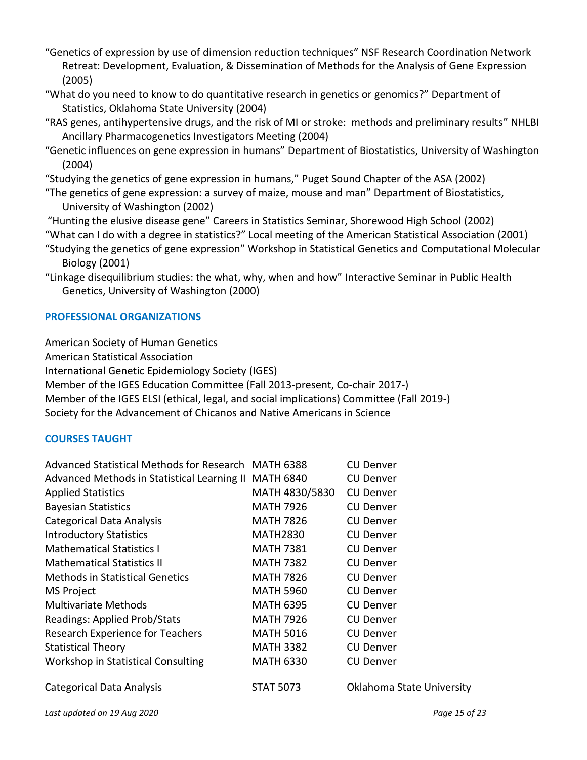- "Genetics of expression by use of dimension reduction techniques" NSF Research Coordination Network Retreat: Development, Evaluation, & Dissemination of Methods for the Analysis of Gene Expression (2005)
- "What do you need to know to do quantitative research in genetics or genomics?" Department of Statistics, Oklahoma State University (2004)
- "RAS genes, antihypertensive drugs, and the risk of MI or stroke: methods and preliminary results" NHLBI Ancillary Pharmacogenetics Investigators Meeting (2004)
- "Genetic influences on gene expression in humans" Department of Biostatistics, University of Washington (2004)

"Studying the genetics of gene expression in humans," Puget Sound Chapter of the ASA (2002)

- "The genetics of gene expression: a survey of maize, mouse and man" Department of Biostatistics, University of Washington (2002)
- "Hunting the elusive disease gene" Careers in Statistics Seminar, Shorewood High School (2002)
- "What can I do with a degree in statistics?" Local meeting of the American Statistical Association (2001)
- "Studying the genetics of gene expression" Workshop in Statistical Genetics and Computational Molecular Biology (2001)
- "Linkage disequilibrium studies: the what, why, when and how" Interactive Seminar in Public Health Genetics, University of Washington (2000)

# **PROFESSIONAL ORGANIZATIONS**

American Society of Human Genetics

American Statistical Association

International Genetic Epidemiology Society (IGES)

Member of the IGES Education Committee (Fall 2013-present, Co-chair 2017-)

Member of the IGES ELSI (ethical, legal, and social implications) Committee (Fall 2019-)

Society for the Advancement of Chicanos and Native Americans in Science

## **COURSES TAUGHT**

| Advanced Statistical Methods for Research MATH 6388   |                  | <b>CU Denver</b>          |
|-------------------------------------------------------|------------------|---------------------------|
| Advanced Methods in Statistical Learning II MATH 6840 |                  | <b>CU Denver</b>          |
| <b>Applied Statistics</b>                             | MATH 4830/5830   | <b>CU Denver</b>          |
| <b>Bayesian Statistics</b>                            | <b>MATH 7926</b> | <b>CU Denver</b>          |
| Categorical Data Analysis                             | <b>MATH 7826</b> | <b>CU Denver</b>          |
| <b>Introductory Statistics</b>                        | <b>MATH2830</b>  | <b>CU Denver</b>          |
| <b>Mathematical Statistics I</b>                      | <b>MATH 7381</b> | <b>CU Denver</b>          |
| <b>Mathematical Statistics II</b>                     | <b>MATH 7382</b> | <b>CU Denver</b>          |
| <b>Methods in Statistical Genetics</b>                | <b>MATH 7826</b> | <b>CU Denver</b>          |
| <b>MS Project</b>                                     | MATH 5960        | <b>CU Denver</b>          |
| Multivariate Methods                                  | <b>MATH 6395</b> | <b>CU Denver</b>          |
| Readings: Applied Prob/Stats                          | MATH 7926        | <b>CU Denver</b>          |
| Research Experience for Teachers                      | <b>MATH 5016</b> | <b>CU Denver</b>          |
| <b>Statistical Theory</b>                             | <b>MATH 3382</b> | <b>CU Denver</b>          |
| Workshop in Statistical Consulting                    | <b>MATH 6330</b> | <b>CU Denver</b>          |
| <b>Categorical Data Analysis</b>                      | <b>STAT 5073</b> | Oklahoma State University |
|                                                       |                  |                           |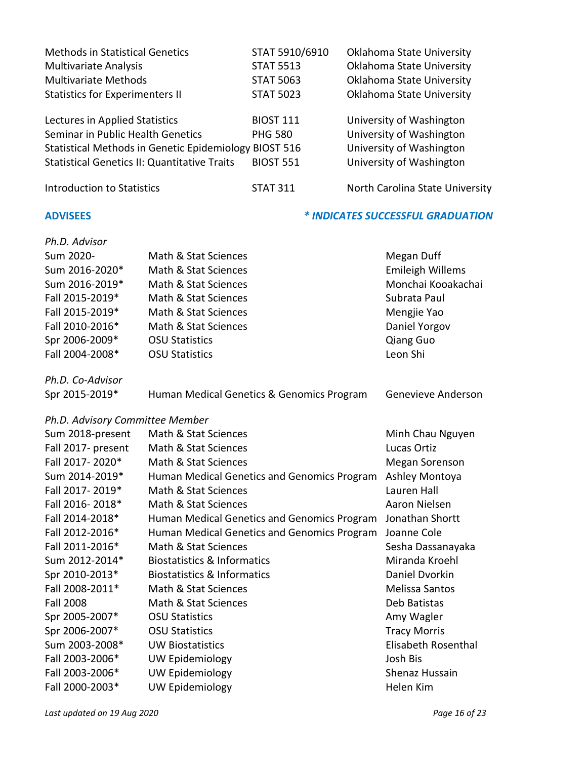| Seminar in Public Health Genetics                     |                                                     | <b>PHG 580</b>   | University of Washington          |
|-------------------------------------------------------|-----------------------------------------------------|------------------|-----------------------------------|
| Statistical Methods in Genetic Epidemiology BIOST 516 |                                                     |                  | University of Washington          |
|                                                       | <b>Statistical Genetics II: Quantitative Traits</b> | <b>BIOST 551</b> | University of Washington          |
| <b>Introduction to Statistics</b>                     |                                                     | <b>STAT 311</b>  | North Carolina State University   |
| <b>ADVISEES</b>                                       |                                                     |                  | * INDICATES SUCCESSFUL GRADUATION |
| Ph.D. Advisor                                         |                                                     |                  |                                   |
| Sum 2020-                                             | Math & Stat Sciences                                |                  | Megan Duff                        |
| Sum 2016-2020*                                        | Math & Stat Sciences                                |                  | <b>Emileigh Willems</b>           |
| Sum 2016-2019*                                        | Math & Stat Sciences                                |                  | Monchai Kooakachai                |
| Fall 2015-2019*                                       | Math & Stat Sciences                                |                  | Subrata Paul                      |
| Fall 2015-2019*                                       | Math & Stat Sciences                                |                  | Mengjie Yao                       |
| Fall 2010-2016*                                       | Math & Stat Sciences                                |                  | Daniel Yorgov                     |
| Spr 2006-2009*                                        | <b>OSU Statistics</b>                               |                  | <b>Qiang Guo</b>                  |
| Fall 2004-2008*                                       | <b>OSU Statistics</b>                               |                  | Leon Shi                          |
| Ph.D. Co-Advisor                                      |                                                     |                  |                                   |
| Spr 2015-2019*                                        | Human Medical Genetics & Genomics Program           |                  | Genevieve Anderson                |
| Ph.D. Advisory Committee Member                       |                                                     |                  |                                   |
| Sum 2018-present                                      | Math & Stat Sciences                                |                  | Minh Chau Nguyen                  |
| Fall 2017- present                                    | Math & Stat Sciences                                |                  | Lucas Ortiz                       |
| Fall 2017-2020*                                       | Math & Stat Sciences                                |                  | Megan Sorenson                    |
| Sum 2014-2019*                                        | Human Medical Genetics and Genomics Program         |                  | Ashley Montoya                    |
| Fall 2017-2019*                                       | Math & Stat Sciences                                |                  | Lauren Hall                       |
| Fall 2016-2018*                                       | Math & Stat Sciences                                |                  | Aaron Nielsen                     |
| Fall 2014-2018*                                       | Human Medical Genetics and Genomics Program         |                  | Jonathan Shortt                   |
| Fall 2012-2016*                                       | Human Medical Genetics and Genomics Program         |                  | Joanne Cole                       |
| Fall 2011-2016*                                       | Math & Stat Sciences                                |                  | Sesha Dassanayaka                 |
| Sum 2012-2014*                                        | <b>Biostatistics &amp; Informatics</b>              |                  | Miranda Kroehl                    |
| Spr 2010-2013*                                        | <b>Biostatistics &amp; Informatics</b>              |                  | Daniel Dvorkin                    |
| Fall 2008-2011*                                       | Math & Stat Sciences                                |                  | Melissa Santos                    |
| <b>Fall 2008</b>                                      | Math & Stat Sciences                                |                  | Deb Batistas                      |
| Spr 2005-2007*                                        | <b>OSU Statistics</b>                               |                  | Amy Wagler                        |
| Spr 2006-2007*                                        | <b>OSU Statistics</b>                               |                  | <b>Tracy Morris</b>               |
| Sum 2003-2008*                                        | <b>UW Biostatistics</b>                             |                  | Elisabeth Rosenthal               |
| Fall 2003-2006*                                       | <b>UW Epidemiology</b>                              |                  | Josh Bis                          |

Fall 2003-2006\* UW Epidemiology **Shenaz Hussain** Fall 2000-2003\* UW Epidemiology **Helen Kim** 

Lectures in Applied Statistics **BIOST 111** University of Washington

Methods in Statistical Genetics STAT 5910/6910 Oklahoma State University Multivariate Analysis **STAT 5513** Oklahoma State University Multivariate Methods **STAT 5063** Oklahoma State University Statistics for Experimenters II STAT 5023 Oklahoma State University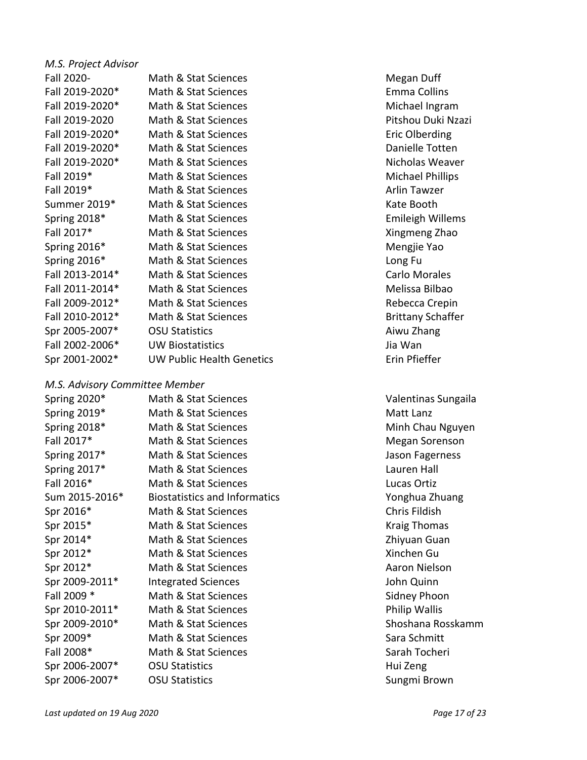| M.S. Project Advisor |                                  |           |
|----------------------|----------------------------------|-----------|
| Fall 2020-           | Math & Stat Sciences             | Megan     |
| Fall 2019-2020*      | Math & Stat Sciences             | Emma C    |
| Fall 2019-2020*      | Math & Stat Sciences             | Michael   |
| Fall 2019-2020       | Math & Stat Sciences             | Pitshou   |
| Fall 2019-2020*      | Math & Stat Sciences             | Eric Olb  |
| Fall 2019-2020*      | Math & Stat Sciences             | Danielle  |
| Fall 2019-2020*      | Math & Stat Sciences             | Nichola   |
| Fall 2019*           | Math & Stat Sciences             | Michael   |
| Fall 2019*           | Math & Stat Sciences             | Arlin Ta  |
| Summer 2019*         | Math & Stat Sciences             | Kate Bo   |
| Spring 2018*         | Math & Stat Sciences             | Emileigl  |
| Fall 2017*           | Math & Stat Sciences             | Xingmer   |
| Spring 2016*         | Math & Stat Sciences             | Mengjie   |
| Spring 2016*         | Math & Stat Sciences             | Long Fu   |
| Fall 2013-2014*      | Math & Stat Sciences             | Carlo M   |
| Fall 2011-2014*      | Math & Stat Sciences             | Melissa   |
| Fall 2009-2012*      | Math & Stat Sciences             | Rebecca   |
| Fall 2010-2012*      | Math & Stat Sciences             | Brittany  |
| Spr 2005-2007*       | <b>OSU Statistics</b>            | Aiwu Zh   |
| Fall 2002-2006*      | <b>UW Biostatistics</b>          | Jia Wan   |
| Spr 2001-2002*       | <b>UW Public Health Genetics</b> | Erin Pfie |

## *M.S. Advisory Committee Member*

| Spring 2020*   | Math & Stat Sciences                 | <b>Valentinas</b> |
|----------------|--------------------------------------|-------------------|
| Spring 2019*   | Math & Stat Sciences                 | Matt Lanz         |
| Spring 2018*   | Math & Stat Sciences                 | Minh Cha          |
| Fall 2017*     | Math & Stat Sciences                 | Megan So          |
| Spring 2017*   | Math & Stat Sciences                 | Jason Fage        |
| Spring 2017*   | Math & Stat Sciences                 | Lauren Ha         |
| Fall 2016*     | Math & Stat Sciences                 | Lucas Orti        |
| Sum 2015-2016* | <b>Biostatistics and Informatics</b> | Yonghua Z         |
| Spr 2016*      | Math & Stat Sciences                 | Chris Fildis      |
| Spr 2015*      | Math & Stat Sciences                 | <b>Kraig Thor</b> |
| Spr 2014*      | Math & Stat Sciences                 | Zhiyuan G         |
| Spr 2012*      | Math & Stat Sciences                 | Xinchen G         |
| Spr 2012*      | Math & Stat Sciences                 | <b>Aaron Nie</b>  |
| Spr 2009-2011* | <b>Integrated Sciences</b>           | John Quin         |
| Fall 2009 *    | Math & Stat Sciences                 | Sidney Ph         |
| Spr 2010-2011* | Math & Stat Sciences                 | Philip Wal        |
| Spr 2009-2010* | Math & Stat Sciences                 | Shoshana          |
| Spr 2009*      | Math & Stat Sciences                 | Sara Schm         |
| Fall 2008*     | Math & Stat Sciences                 | Sarah Toc         |
| Spr 2006-2007* | <b>OSU Statistics</b>                | Hui Zeng          |
| Spr 2006-2007* | <b>OSU Statistics</b>                | Sungmi Br         |

Megan Duff Emma Collins Michael Ingram Pitshou Duki Nzazi Eric Olberding Danielle Totten Nicholas Weaver Michael Phillips Arlin Tawzer Kate Booth Emileigh Willems Xingmeng Zhao Mengjie Yao Carlo Morales Melissa Bilbao Rebecca Crepin Brittany Schaffer Aiwu Zhang Erin Pfieffer

Valentinas Sungaila Minh Chau Nguyen Megan Sorenson Jason Fagerness Lauren Hall Lucas Ortiz s and Informatics and Information and Information and Information and Information and Informatics V Chris Fildish Kraig Thomas Zhivuan Guan Xinchen Gu Aaron Nielson John Quinn Sidney Phoon Philip Wallis Shoshana Rosskamm Sara Schmitt Sarah Tocheri Hui Zeng Sungmi Brown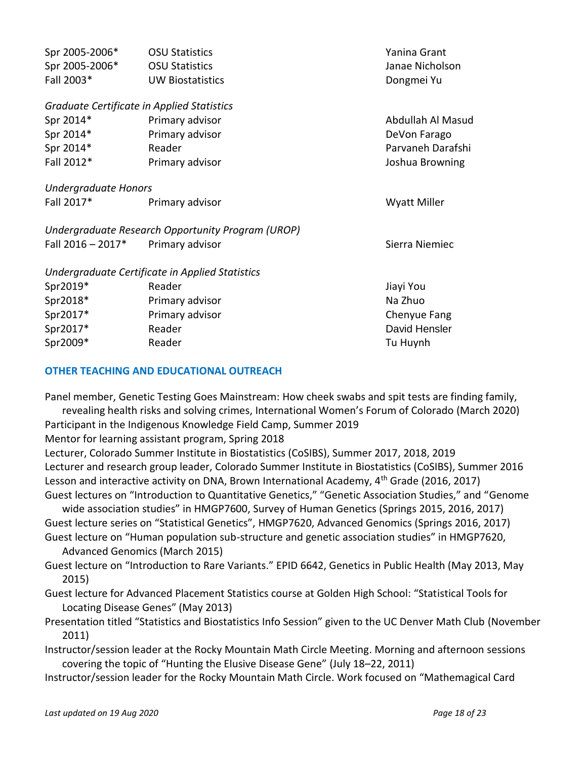| Spr 2005-2006*                             | <b>OSU Statistics</b>                             | Yanina Grant        |
|--------------------------------------------|---------------------------------------------------|---------------------|
| Spr 2005-2006*                             | <b>OSU Statistics</b>                             | Janae Nicholson     |
| Fall 2003*                                 | <b>UW Biostatistics</b>                           | Dongmei Yu          |
| Graduate Certificate in Applied Statistics |                                                   |                     |
| Spr 2014*                                  | Primary advisor                                   | Abdullah Al Masud   |
| Spr 2014*                                  | Primary advisor                                   | DeVon Farago        |
| Spr 2014*                                  | Reader                                            | Parvaneh Darafshi   |
| Fall 2012*                                 | Primary advisor                                   | Joshua Browning     |
| <b>Undergraduate Honors</b>                |                                                   |                     |
| Fall 2017*                                 | Primary advisor                                   | <b>Wyatt Miller</b> |
|                                            | Undergraduate Research Opportunity Program (UROP) |                     |
| Fall $2016 - 2017*$                        | Primary advisor                                   | Sierra Niemiec      |
|                                            | Undergraduate Certificate in Applied Statistics   |                     |
| Spr2019*                                   | Reader                                            | Jiayi You           |
| Spr2018*                                   | Primary advisor                                   | Na Zhuo             |
| Spr2017*                                   | Primary advisor                                   | Chenyue Fang        |
| Spr2017*                                   | Reader                                            | David Hensler       |
| Spr2009*                                   | Reader                                            | Tu Huynh            |

## **OTHER TEACHING AND EDUCATIONAL OUTREACH**

Panel member, Genetic Testing Goes Mainstream: How cheek swabs and spit tests are finding family,

revealing health risks and solving crimes, International Women's Forum of Colorado (March 2020) Participant in the Indigenous Knowledge Field Camp, Summer 2019

Mentor for learning assistant program, Spring 2018

Lecturer, Colorado Summer Institute in Biostatistics (CoSIBS), Summer 2017, 2018, 2019 Lecturer and research group leader, Colorado Summer Institute in Biostatistics (CoSIBS), Summer 2016 Lesson and interactive activity on DNA, Brown International Academy, 4<sup>th</sup> Grade (2016, 2017) Guest lectures on "Introduction to Quantitative Genetics," "Genetic Association Studies," and "Genome

wide association studies" in HMGP7600, Survey of Human Genetics (Springs 2015, 2016, 2017) Guest lecture series on "Statistical Genetics", HMGP7620, Advanced Genomics (Springs 2016, 2017) Guest lecture on "Human population sub-structure and genetic association studies" in HMGP7620,

Advanced Genomics (March 2015)

Guest lecture on "Introduction to Rare Variants." EPID 6642, Genetics in Public Health (May 2013, May 2015)

Guest lecture for Advanced Placement Statistics course at Golden High School: "Statistical Tools for Locating Disease Genes" (May 2013)

Presentation titled "Statistics and Biostatistics Info Session" given to the UC Denver Math Club (November 2011)

Instructor/session leader at the Rocky Mountain Math Circle Meeting. Morning and afternoon sessions covering the topic of "Hunting the Elusive Disease Gene" (July 18–22, 2011)

Instructor/session leader for the Rocky Mountain Math Circle. Work focused on "Mathemagical Card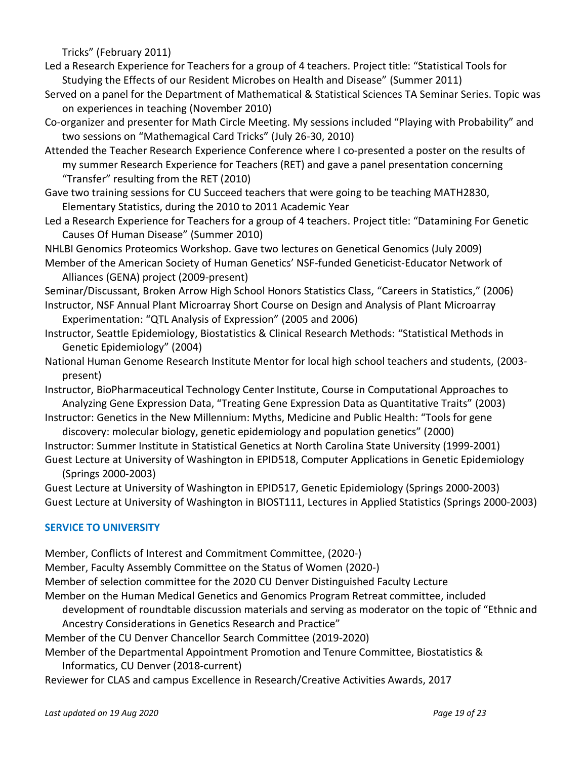Tricks" (February 2011)

Led a Research Experience for Teachers for a group of 4 teachers. Project title: "Statistical Tools for Studying the Effects of our Resident Microbes on Health and Disease" (Summer 2011)

- Served on a panel for the Department of Mathematical & Statistical Sciences TA Seminar Series. Topic was on experiences in teaching (November 2010)
- Co-organizer and presenter for Math Circle Meeting. My sessions included "Playing with Probability" and two sessions on "Mathemagical Card Tricks" (July 26-30, 2010)
- Attended the Teacher Research Experience Conference where I co-presented a poster on the results of my summer Research Experience for Teachers (RET) and gave a panel presentation concerning "Transfer" resulting from the RET (2010)
- Gave two training sessions for CU Succeed teachers that were going to be teaching MATH2830, Elementary Statistics, during the 2010 to 2011 Academic Year
- Led a Research Experience for Teachers for a group of 4 teachers. Project title: "Datamining For Genetic Causes Of Human Disease" (Summer 2010)
- NHLBI Genomics Proteomics Workshop. Gave two lectures on Genetical Genomics (July 2009)
- Member of the American Society of Human Genetics' NSF-funded Geneticist-Educator Network of Alliances (GENA) project (2009-present)

Seminar/Discussant, Broken Arrow High School Honors Statistics Class, "Careers in Statistics," (2006)

- Instructor, NSF Annual Plant Microarray Short Course on Design and Analysis of Plant Microarray Experimentation: "QTL Analysis of Expression" (2005 and 2006)
- Instructor, Seattle Epidemiology, Biostatistics & Clinical Research Methods: "Statistical Methods in Genetic Epidemiology" (2004)
- National Human Genome Research Institute Mentor for local high school teachers and students, (2003 present)
- Instructor, BioPharmaceutical Technology Center Institute, Course in Computational Approaches to Analyzing Gene Expression Data, "Treating Gene Expression Data as Quantitative Traits" (2003)
- Instructor: Genetics in the New Millennium: Myths, Medicine and Public Health: "Tools for gene discovery: molecular biology, genetic epidemiology and population genetics" (2000)
- Instructor: Summer Institute in Statistical Genetics at North Carolina State University (1999-2001) Guest Lecture at University of Washington in EPID518, Computer Applications in Genetic Epidemiology (Springs 2000-2003)

Guest Lecture at University of Washington in EPID517, Genetic Epidemiology (Springs 2000-2003) Guest Lecture at University of Washington in BIOST111, Lectures in Applied Statistics (Springs 2000-2003)

# **SERVICE TO UNIVERSITY**

Member, Conflicts of Interest and Commitment Committee, (2020-)

Member, Faculty Assembly Committee on the Status of Women (2020-)

Member of selection committee for the 2020 CU Denver Distinguished Faculty Lecture

- Member on the Human Medical Genetics and Genomics Program Retreat committee, included
	- development of roundtable discussion materials and serving as moderator on the topic of "Ethnic and
	- Ancestry Considerations in Genetics Research and Practice"
- Member of the CU Denver Chancellor Search Committee (2019-2020)
- Member of the Departmental Appointment Promotion and Tenure Committee, Biostatistics & Informatics, CU Denver (2018-current)

Reviewer for CLAS and campus Excellence in Research/Creative Activities Awards, 2017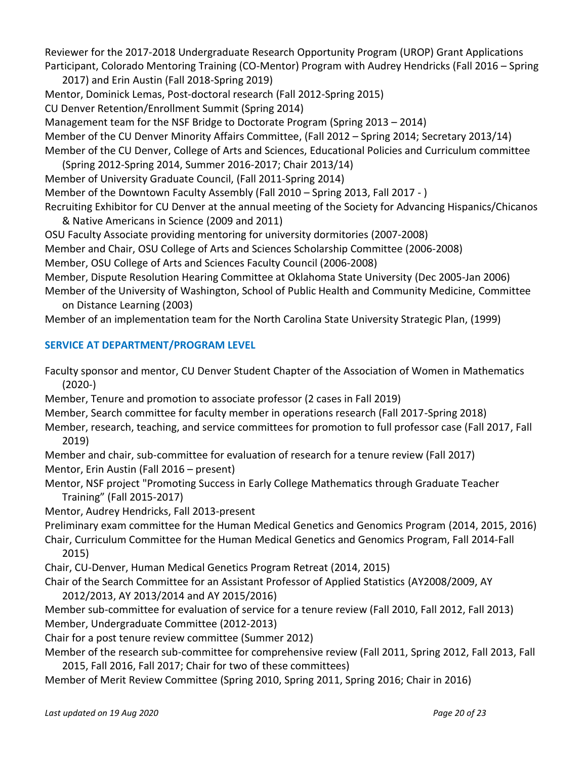Reviewer for the 2017-2018 Undergraduate Research Opportunity Program (UROP) Grant Applications Participant, Colorado Mentoring Training (CO-Mentor) Program with Audrey Hendricks (Fall 2016 – Spring

2017) and Erin Austin (Fall 2018-Spring 2019) Mentor, Dominick Lemas, Post-doctoral research (Fall 2012-Spring 2015) CU Denver Retention/Enrollment Summit (Spring 2014) Management team for the NSF Bridge to Doctorate Program (Spring 2013 – 2014) Member of the CU Denver Minority Affairs Committee, (Fall 2012 – Spring 2014; Secretary 2013/14)

Member of the CU Denver, College of Arts and Sciences, Educational Policies and Curriculum committee (Spring 2012-Spring 2014, Summer 2016-2017; Chair 2013/14)

Member of University Graduate Council, (Fall 2011-Spring 2014)

Member of the Downtown Faculty Assembly (Fall 2010 – Spring 2013, Fall 2017 - )

Recruiting Exhibitor for CU Denver at the annual meeting of the Society for Advancing Hispanics/Chicanos & Native Americans in Science (2009 and 2011)

OSU Faculty Associate providing mentoring for university dormitories (2007-2008)

Member and Chair, OSU College of Arts and Sciences Scholarship Committee (2006-2008)

Member, OSU College of Arts and Sciences Faculty Council (2006-2008)

Member, Dispute Resolution Hearing Committee at Oklahoma State University (Dec 2005-Jan 2006)

Member of the University of Washington, School of Public Health and Community Medicine, Committee on Distance Learning (2003)

Member of an implementation team for the North Carolina State University Strategic Plan, (1999)

# **SERVICE AT DEPARTMENT/PROGRAM LEVEL**

Faculty sponsor and mentor, CU Denver Student Chapter of the Association of Women in Mathematics (2020-)

Member, Tenure and promotion to associate professor (2 cases in Fall 2019)

Member, Search committee for faculty member in operations research (Fall 2017-Spring 2018)

Member, research, teaching, and service committees for promotion to full professor case (Fall 2017, Fall 2019)

Member and chair, sub-committee for evaluation of research for a tenure review (Fall 2017) Mentor, Erin Austin (Fall 2016 – present)

Mentor, NSF project "Promoting Success in Early College Mathematics through Graduate Teacher Training" (Fall 2015-2017)

Mentor, Audrey Hendricks, Fall 2013-present

Preliminary exam committee for the Human Medical Genetics and Genomics Program (2014, 2015, 2016)

Chair, Curriculum Committee for the Human Medical Genetics and Genomics Program, Fall 2014-Fall 2015)

Chair, CU-Denver, Human Medical Genetics Program Retreat (2014, 2015)

Chair of the Search Committee for an Assistant Professor of Applied Statistics (AY2008/2009, AY

2012/2013, AY 2013/2014 and AY 2015/2016)

Member sub-committee for evaluation of service for a tenure review (Fall 2010, Fall 2012, Fall 2013) Member, Undergraduate Committee (2012-2013)

Chair for a post tenure review committee (Summer 2012)

Member of the research sub-committee for comprehensive review (Fall 2011, Spring 2012, Fall 2013, Fall 2015, Fall 2016, Fall 2017; Chair for two of these committees)

Member of Merit Review Committee (Spring 2010, Spring 2011, Spring 2016; Chair in 2016)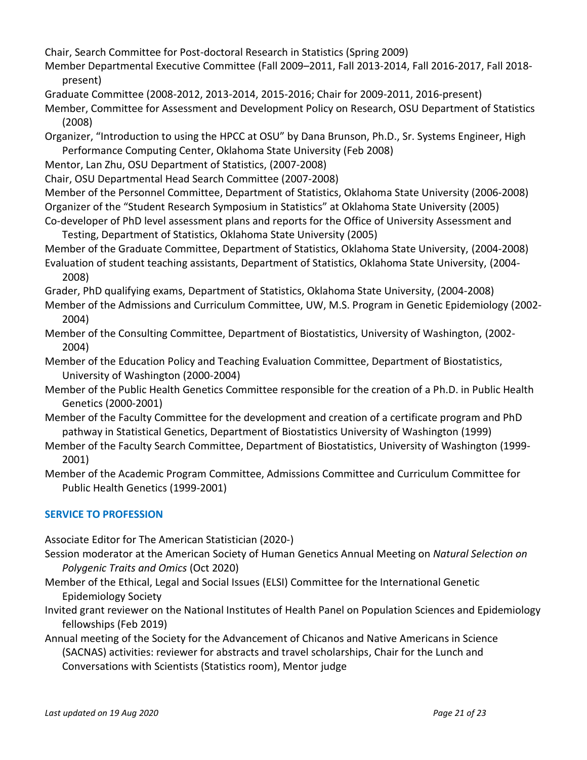Chair, Search Committee for Post-doctoral Research in Statistics (Spring 2009)

- Member Departmental Executive Committee (Fall 2009–2011, Fall 2013-2014, Fall 2016-2017, Fall 2018 present)
- Graduate Committee (2008-2012, 2013-2014, 2015-2016; Chair for 2009-2011, 2016-present)
- Member, Committee for Assessment and Development Policy on Research, OSU Department of Statistics (2008)
- Organizer, "Introduction to using the HPCC at OSU" by Dana Brunson, Ph.D., Sr. Systems Engineer, High Performance Computing Center, Oklahoma State University (Feb 2008)
- Mentor, Lan Zhu, OSU Department of Statistics, (2007-2008)
- Chair, OSU Departmental Head Search Committee (2007-2008)

Member of the Personnel Committee, Department of Statistics, Oklahoma State University (2006-2008) Organizer of the "Student Research Symposium in Statistics" at Oklahoma State University (2005) Co-developer of PhD level assessment plans and reports for the Office of University Assessment and

Testing, Department of Statistics, Oklahoma State University (2005) Member of the Graduate Committee, Department of Statistics, Oklahoma State University, (2004-2008) Evaluation of student teaching assistants, Department of Statistics, Oklahoma State University, (2004- 2008)

Grader, PhD qualifying exams, Department of Statistics, Oklahoma State University, (2004-2008)

- Member of the Admissions and Curriculum Committee, UW, M.S. Program in Genetic Epidemiology (2002- 2004)
- Member of the Consulting Committee, Department of Biostatistics, University of Washington, (2002- 2004)

Member of the Education Policy and Teaching Evaluation Committee, Department of Biostatistics, University of Washington (2000-2004)

- Member of the Public Health Genetics Committee responsible for the creation of a Ph.D. in Public Health Genetics (2000-2001)
- Member of the Faculty Committee for the development and creation of a certificate program and PhD pathway in Statistical Genetics, Department of Biostatistics University of Washington (1999)
- Member of the Faculty Search Committee, Department of Biostatistics, University of Washington (1999- 2001)
- Member of the Academic Program Committee, Admissions Committee and Curriculum Committee for Public Health Genetics (1999-2001)

## **SERVICE TO PROFESSION**

Associate Editor for The American Statistician (2020-)

- Session moderator at the American Society of Human Genetics Annual Meeting on *Natural Selection on Polygenic Traits and Omics* (Oct 2020)
- Member of the Ethical, Legal and Social Issues (ELSI) Committee for the International Genetic Epidemiology Society
- Invited grant reviewer on the National Institutes of Health Panel on Population Sciences and Epidemiology fellowships (Feb 2019)
- Annual meeting of the Society for the Advancement of Chicanos and Native Americans in Science (SACNAS) activities: reviewer for abstracts and travel scholarships, Chair for the Lunch and Conversations with Scientists (Statistics room), Mentor judge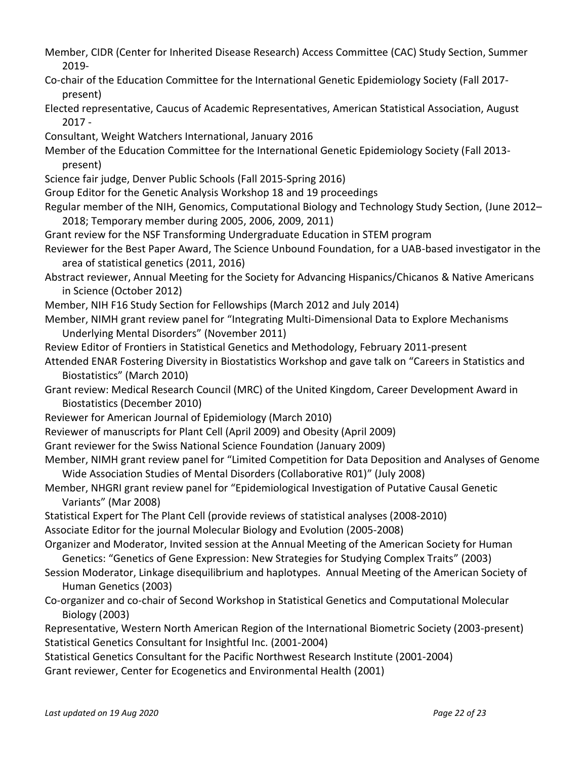- Member, CIDR (Center for Inherited Disease Research) Access Committee (CAC) Study Section, Summer 2019-
- Co-chair of the Education Committee for the International Genetic Epidemiology Society (Fall 2017 present)
- Elected representative, Caucus of Academic Representatives, American Statistical Association, August 2017 -
- Consultant, Weight Watchers International, January 2016
- Member of the Education Committee for the International Genetic Epidemiology Society (Fall 2013 present)
- Science fair judge, Denver Public Schools (Fall 2015-Spring 2016)
- Group Editor for the Genetic Analysis Workshop 18 and 19 proceedings
- Regular member of the NIH, Genomics, Computational Biology and Technology Study Section, (June 2012– 2018; Temporary member during 2005, 2006, 2009, 2011)
- Grant review for the NSF Transforming Undergraduate Education in STEM program
- Reviewer for the Best Paper Award, The Science Unbound Foundation, for a UAB-based investigator in the area of statistical genetics (2011, 2016)
- Abstract reviewer, Annual Meeting for the Society for Advancing Hispanics/Chicanos & Native Americans in Science (October 2012)
- Member, NIH F16 Study Section for Fellowships (March 2012 and July 2014)
- Member, NIMH grant review panel for "Integrating Multi-Dimensional Data to Explore Mechanisms Underlying Mental Disorders" (November 2011)
- Review Editor of Frontiers in Statistical Genetics and Methodology, February 2011-present
- Attended ENAR Fostering Diversity in Biostatistics Workshop and gave talk on "Careers in Statistics and Biostatistics" (March 2010)
- Grant review: Medical Research Council (MRC) of the United Kingdom, Career Development Award in Biostatistics (December 2010)
- Reviewer for American Journal of Epidemiology (March 2010)
- Reviewer of manuscripts for Plant Cell (April 2009) and Obesity (April 2009)
- Grant reviewer for the Swiss National Science Foundation (January 2009)
- Member, NIMH grant review panel for "Limited Competition for Data Deposition and Analyses of Genome Wide Association Studies of Mental Disorders (Collaborative R01)" (July 2008)
- Member, NHGRI grant review panel for "Epidemiological Investigation of Putative Causal Genetic Variants" (Mar 2008)
- Statistical Expert for The Plant Cell (provide reviews of statistical analyses (2008-2010)
- Associate Editor for the journal Molecular Biology and Evolution (2005-2008)
- Organizer and Moderator, Invited session at the Annual Meeting of the American Society for Human Genetics: "Genetics of Gene Expression: New Strategies for Studying Complex Traits" (2003)
- Session Moderator, Linkage disequilibrium and haplotypes. Annual Meeting of the American Society of Human Genetics (2003)
- Co-organizer and co-chair of Second Workshop in Statistical Genetics and Computational Molecular Biology (2003)
- Representative, Western North American Region of the International Biometric Society (2003-present) Statistical Genetics Consultant for Insightful Inc. (2001-2004)
- Statistical Genetics Consultant for the Pacific Northwest Research Institute (2001-2004)
- Grant reviewer, Center for Ecogenetics and Environmental Health (2001)